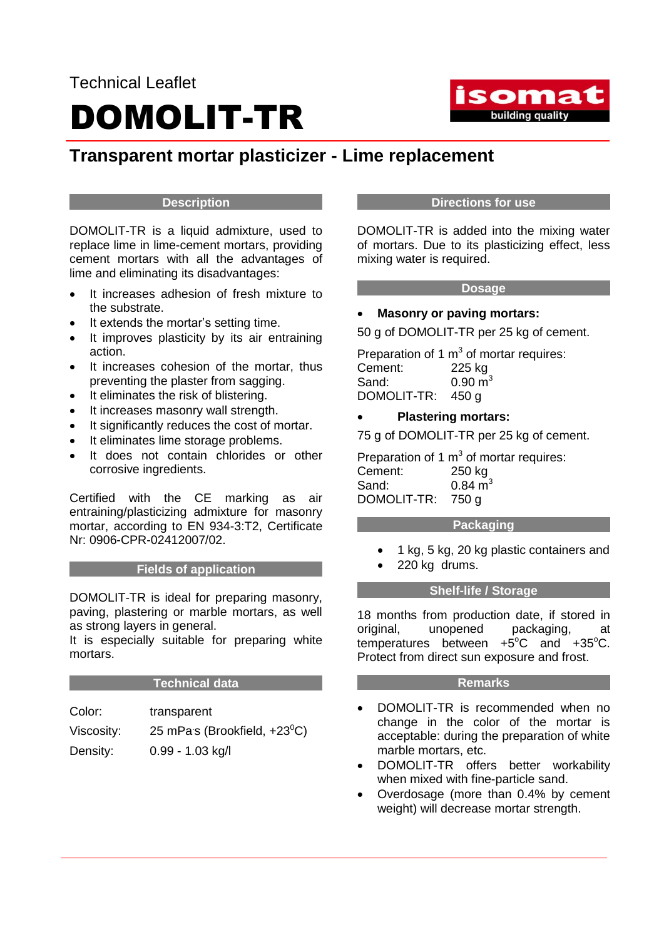## Technical Leaflet DOMOLIT-TR



### **Transparent mortar plasticizer - Lime replacement**

#### **Description**

DOMOLIT-TR is a liquid admixture, used to replace lime in lime-cement mortars, providing cement mortars with all the advantages of lime and eliminating its disadvantages:

- It increases adhesion of fresh mixture to the substrate.
- It extends the mortar's setting time.
- It improves plasticity by its air entraining action.
- It increases cohesion of the mortar, thus preventing the plaster from sagging.
- It eliminates the risk of blistering.
- It increases masonry wall strength.
- It significantly reduces the cost of mortar.
- It eliminates lime storage problems.
- It does not contain chlorides or other corrosive ingredients.

Certified with the CE marking as air entraining/plasticizing admixture for masonry mortar, according to EN 934-3:T2, Certificate Nr: 0906-CPR-02412007/02.

#### **Fields of application**

DOMOLIT-TR is ideal for preparing masonry, paving, plastering or marble mortars, as well as strong layers in general.

It is especially suitable for preparing white mortars.

#### **Technical data**

| Color:     | transparent                           |
|------------|---------------------------------------|
| Viscosity: | 25 mPas (Brookfield, $+23^{\circ}$ C) |
| Density:   | 0.99 - 1.03 kg/l                      |

#### **Directions for use**

DOMOLIT-TR is added into the mixing water of mortars. Due to its plasticizing effect, less mixing water is required.

#### **Dosage**

#### **Masonry or paving mortars:**

50 g of DOMOLIT-TR per 25 kg of cement.

Preparation of 1  $m<sup>3</sup>$  of mortar requires: Cement: 225 kg Sand:  $0.90 \text{ m}^3$ DOMOLIT-TR: 450 g

#### **Plastering mortars:**

75 g of DOMOLIT-TR per 25 kg of cement.

Preparation of 1  $m<sup>3</sup>$  of mortar requires: Cement: 250 kg Sand:  $0.84 \text{ m}^3$ DOMOLIT-TR: 750 g

#### **Packaging**

- 1 kg, 5 kg, 20 kg plastic containers and
- 220 kg drums.

#### **Shelf-life / Storage**

18 months from production date, if stored in original, unopened packaging, at temperatures between  $+5^{\circ}$ C and  $+35^{\circ}$ C. Protect from direct sun exposure and frost.

#### **Remarks**

- DOMOLIT-TR is recommended when no change in the color of the mortar is acceptable: during the preparation of white marble mortars, etc.
- DOMOLIT-TR offers better workability when mixed with fine-particle sand.
- Overdosage (more than 0.4% by cement weight) will decrease mortar strength.